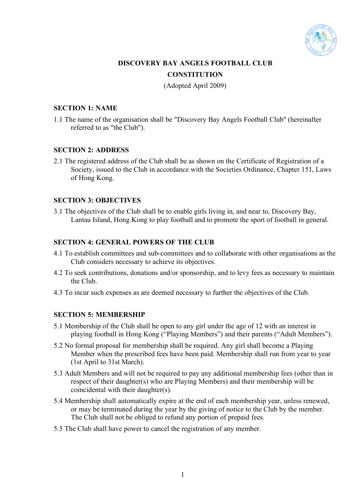

# **DISCOVERY BAY ANGELS FOOTBALL CLUB CONSTITUTION**

(Adopted April 2009)

# **SECTION 1: NAME**

1.1 The name of the organisation shall be "Discovery Bay Angels Football Club" (hereinafter referred to as "the Club").

# **SECTION 2: ADDRESS**

2.1 The registered address of the Club shall be as shown on the Certificate of Registration of a Society, issued to the Club in accordance with the Societies Ordinance, Chapter 151, Laws of Hong Kong.

# **SECTION 3: OBJECTIVES**

3.1 The objectives of the Club shall be to enable girls living in, and near to, Discovery Bay, Lantau Island, Hong Kong to play football and to promote the sport of football in general.

# **SECTION 4: GENERAL POWERS OF THE CLUB**

- 4.1 To establish committees and sub-committees and to collaborate with other organisations as the Club considers necessary to achieve its objectives.
- 4.2 To seek contributions, donations and/or sponsorship, and to levy fees as necessary to maintain the Club.
- 4.3 To incur such expenses as are deemed necessary to further the objectives of the Club.

# **SECTION 5: MEMBERSHIP**

- 5.1 Membership of the Club shall be open to any girl under the age of 12 with an interest in playing football in Hong Kong ("Playing Members") and their parents ("Adult Members").
- 5.2 No formal proposal for membership shall be required. Any girl shall become a Playing Member when the prescribed fees have been paid. Membership shall run from year to year (1st April to 31st March).
- 5.3 Adult Members and will not be required to pay any additional membership fees (other than in respect of their daughter(s) who are Playing Members) and their membership will be coincidental with their daughter(s).
- 5.4 Membership shall automatically expire at the end of each membership year, unless renewed, or may be terminated during the year by the giving of notice to the Club by the member. The Club shall not be obliged to refund any portion of prepaid fees.
- 5.5 The Club shall have power to cancel the registration of any member.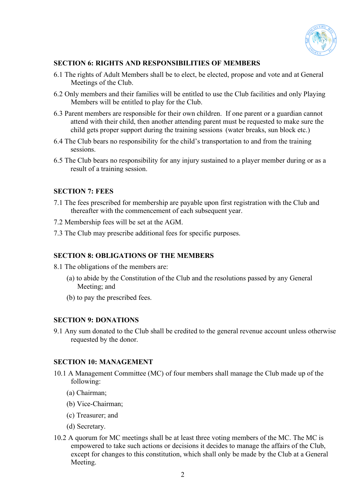

# **SECTION 6: RIGHTS AND RESPONSIBILITIES OF MEMBERS**

- 6.1 The rights of Adult Members shall be to elect, be elected, propose and vote and at General Meetings of the Club.
- 6.2 Only members and their families will be entitled to use the Club facilities and only Playing Members will be entitled to play for the Club.
- 6.3 Parent members are responsible for their own children. If one parent or a guardian cannot attend with their child, then another attending parent must be requested to make sure the child gets proper support during the training sessions (water breaks, sun block etc.)
- 6.4 The Club bears no responsibility for the child's transportation to and from the training sessions.
- 6.5 The Club bears no responsibility for any injury sustained to a player member during or as a result of a training session.

# **SECTION 7: FEES**

- 7.1 The fees prescribed for membership are payable upon first registration with the Club and thereafter with the commencement of each subsequent year.
- 7.2 Membership fees will be set at the AGM.
- 7.3 The Club may prescribe additional fees for specific purposes.

# **SECTION 8: OBLIGATIONS OF THE MEMBERS**

- 8.1 The obligations of the members are:
	- (a) to abide by the Constitution of the Club and the resolutions passed by any General Meeting; and
	- (b) to pay the prescribed fees.

### **SECTION 9: DONATIONS**

9.1 Any sum donated to the Club shall be credited to the general revenue account unless otherwise requested by the donor.

#### **SECTION 10: MANAGEMENT**

- 10.1 A Management Committee (MC) of four members shall manage the Club made up of the following:
	- (a) Chairman;
	- (b) Vice-Chairman;
	- (c) Treasurer; and
	- (d) Secretary.
- 10.2 A quorum for MC meetings shall be at least three voting members of the MC. The MC is empowered to take such actions or decisions it decides to manage the affairs of the Club, except for changes to this constitution, which shall only be made by the Club at a General Meeting.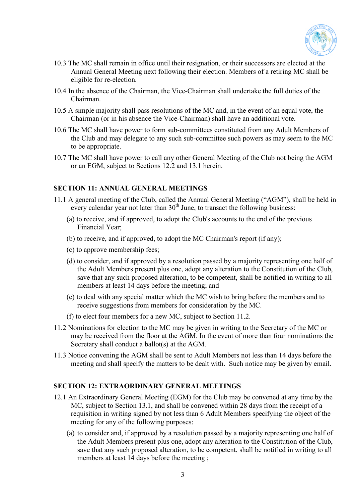

- 10.3 The MC shall remain in office until their resignation, or their successors are elected at the Annual General Meeting next following their election. Members of a retiring MC shall be eligible for re-election.
- 10.4 In the absence of the Chairman, the Vice-Chairman shall undertake the full duties of the Chairman.
- 10.5 A simple majority shall pass resolutions of the MC and, in the event of an equal vote, the Chairman (or in his absence the Vice-Chairman) shall have an additional vote.
- 10.6 The MC shall have power to form sub-committees constituted from any Adult Members of the Club and may delegate to any such sub-committee such powers as may seem to the MC to be appropriate.
- 10.7 The MC shall have power to call any other General Meeting of the Club not being the AGM or an EGM, subject to Sections 12.2 and 13.1 herein.

# **SECTION 11: ANNUAL GENERAL MEETINGS**

- 11.1 A general meeting of the Club, called the Annual General Meeting ("AGM"), shall be held in every calendar year not later than  $30<sup>th</sup>$  June, to transact the following business:
	- (a) to receive, and if approved, to adopt the Club's accounts to the end of the previous Financial Year;
	- (b) to receive, and if approved, to adopt the MC Chairman's report (if any);
	- (c) to approve membership fees;
	- (d) to consider, and if approved by a resolution passed by a majority representing one half of the Adult Members present plus one, adopt any alteration to the Constitution of the Club, save that any such proposed alteration, to be competent, shall be notified in writing to all members at least 14 days before the meeting; and
	- (e) to deal with any special matter which the MC wish to bring before the members and to receive suggestions from members for consideration by the MC.
	- (f) to elect four members for a new MC, subject to Section 11.2.
- 11.2 Nominations for election to the MC may be given in writing to the Secretary of the MC or may be received from the floor at the AGM. In the event of more than four nominations the Secretary shall conduct a ballot(s) at the AGM.
- 11.3 Notice convening the AGM shall be sent to Adult Members not less than 14 days before the meeting and shall specify the matters to be dealt with. Such notice may be given by email.

# **SECTION 12: EXTRAORDINARY GENERAL MEETINGS**

- 12.1 An Extraordinary General Meeting (EGM) for the Club may be convened at any time by the MC, subject to Section 13.1, and shall be convened within 28 days from the receipt of a requisition in writing signed by not less than 6 Adult Members specifying the object of the meeting for any of the following purposes:
	- (a) to consider and, if approved by a resolution passed by a majority representing one half of the Adult Members present plus one, adopt any alteration to the Constitution of the Club, save that any such proposed alteration, to be competent, shall be notified in writing to all members at least 14 days before the meeting ;